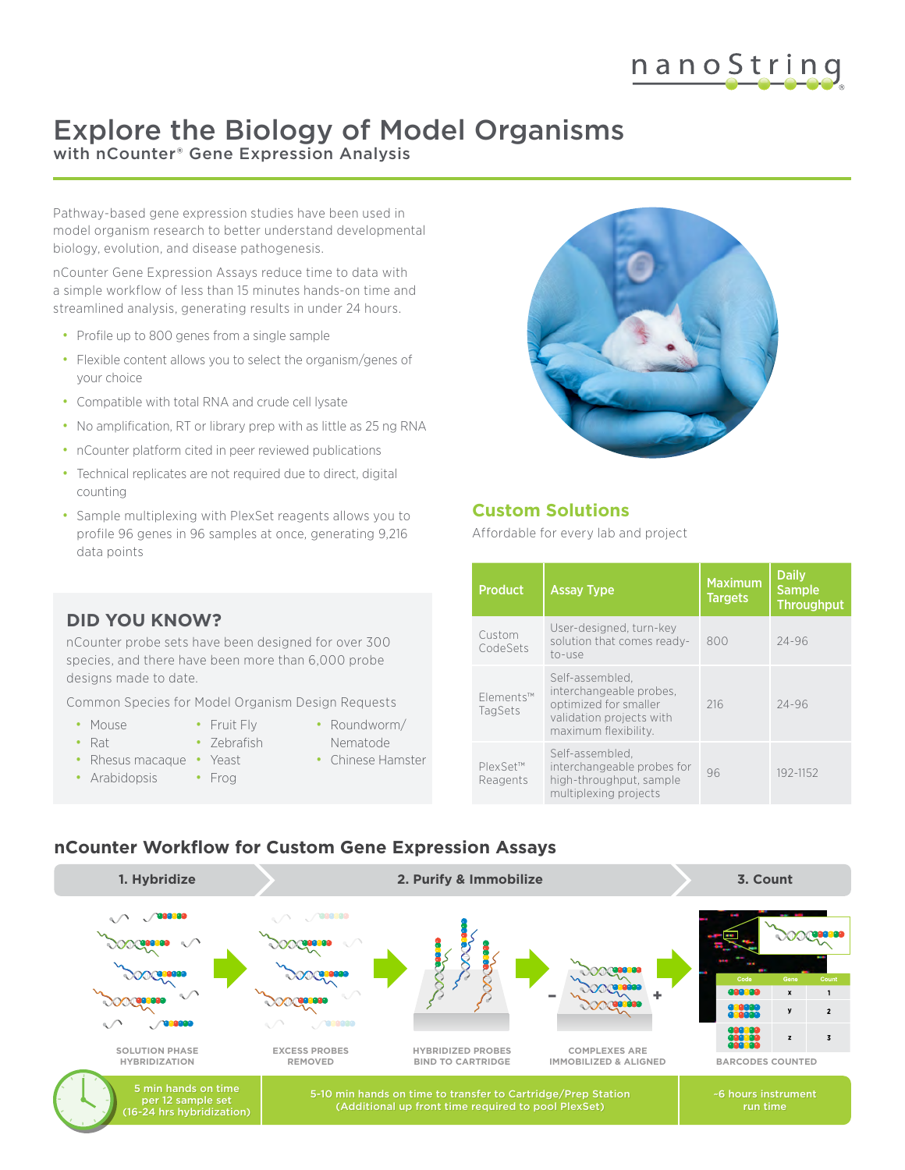## nanoString

## Explore the Biology of Model Organisms with nCounter<sup>®</sup> Gene Expression Analysis

Pathway-based gene expression studies have been used in model organism research to better understand developmental biology, evolution, and disease pathogenesis.

nCounter Gene Expression Assays reduce time to data with a simple workflow of less than 15 minutes hands-on time and streamlined analysis, generating results in under 24 hours.

- Profile up to 800 genes from a single sample
- Flexible content allows you to select the organism/genes of your choice
- Compatible with total RNA and crude cell lysate
- No amplification, RT or library prep with as little as 25 ng RNA
- nCounter platform cited in peer reviewed publications
- Technical replicates are not required due to direct, digital counting
- Sample multiplexing with PlexSet reagents allows you to profile 96 genes in 96 samples at once, generating 9,216 data points



#### **Custom Solutions**

Affordable for every lab and project

| <b>Product</b>       | <b>Assay Type</b>                                                                                                       | <b>Maximum</b><br><b>Targets</b> | <b>Daily</b><br><b>Sample</b><br><b>Throughput</b> |
|----------------------|-------------------------------------------------------------------------------------------------------------------------|----------------------------------|----------------------------------------------------|
| Custom<br>CodeSets   | User-designed, turn-key<br>solution that comes ready-<br>to-use                                                         | 800                              | $24 - 96$                                          |
| Flements™<br>TagSets | Self-assembled,<br>interchangeable probes,<br>optimized for smaller<br>validation projects with<br>maximum flexibility. | 216                              | $24 - 96$                                          |
| PlexSet™<br>Reagents | Self-assembled.<br>interchangeable probes for<br>high-throughput, sample<br>multiplexing projects                       | 96                               | 192-1152                                           |

#### **Common Species for Agricultural Design Requests DID YOU KNOW?**

nCounter probe sets have been designed for over 300 species, and there have been more than 6,000 probe designs made to date.

Common Species for Model Organism Design Requests

- Mouse
- Fruit Fly
- Rat
- - Zebrafish
- Rhesus macaque Yeast
- Arabidopsis
- Roundworm/ Nematode
- Chinese Hamster
- Frog
-